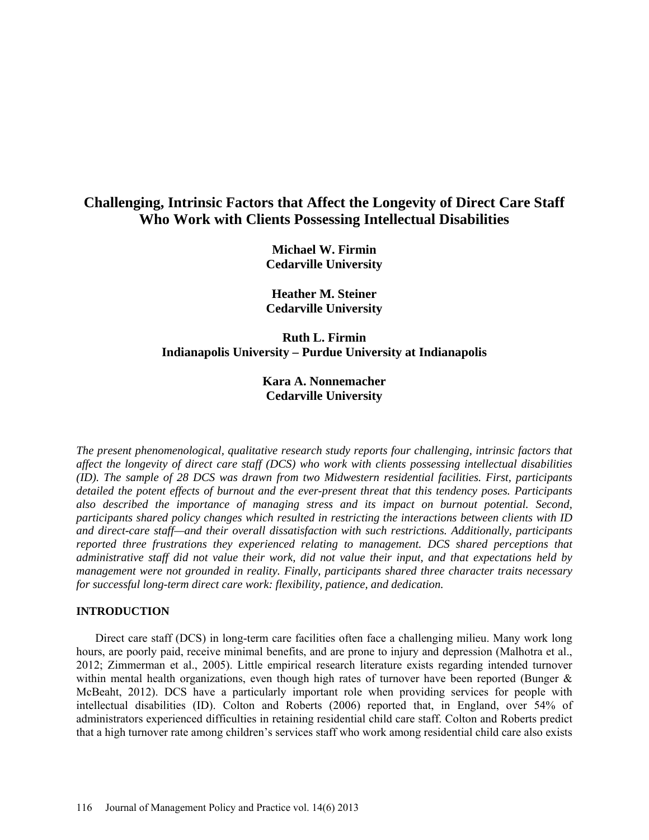# **Challenging, Intrinsic Factors that Affect the Longevity of Direct Care Staff Who Work with Clients Possessing Intellectual Disabilities**

**Michael W. Firmin Cedarville University**

**Heather M. Steiner Cedarville University**

# **Ruth L. Firmin Indianapolis University – Purdue University at Indianapolis**

# **Kara A. Nonnemacher Cedarville University**

*The present phenomenological, qualitative research study reports four challenging, intrinsic factors that affect the longevity of direct care staff (DCS) who work with clients possessing intellectual disabilities (ID). The sample of 28 DCS was drawn from two Midwestern residential facilities. First, participants detailed the potent effects of burnout and the ever-present threat that this tendency poses. Participants also described the importance of managing stress and its impact on burnout potential. Second, participants shared policy changes which resulted in restricting the interactions between clients with ID and direct-care staff—and their overall dissatisfaction with such restrictions. Additionally, participants reported three frustrations they experienced relating to management. DCS shared perceptions that administrative staff did not value their work, did not value their input, and that expectations held by management were not grounded in reality. Finally, participants shared three character traits necessary for successful long-term direct care work: flexibility, patience, and dedication.* 

# **INTRODUCTION**

Direct care staff (DCS) in long-term care facilities often face a challenging milieu. Many work long hours, are poorly paid, receive minimal benefits, and are prone to injury and depression (Malhotra et al., 2012; Zimmerman et al., 2005). Little empirical research literature exists regarding intended turnover within mental health organizations, even though high rates of turnover have been reported (Bunger  $\&$ McBeaht, 2012). DCS have a particularly important role when providing services for people with intellectual disabilities (ID). Colton and Roberts (2006) reported that, in England, over 54% of administrators experienced difficulties in retaining residential child care staff. Colton and Roberts predict that a high turnover rate among children's services staff who work among residential child care also exists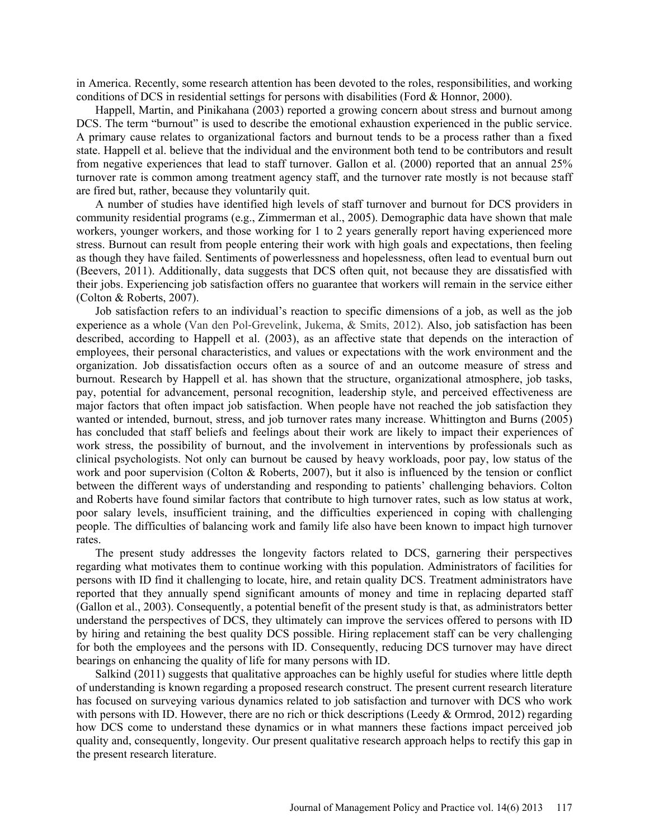in America. Recently, some research attention has been devoted to the roles, responsibilities, and working conditions of DCS in residential settings for persons with disabilities (Ford & Honnor, 2000).

Happell, Martin, and Pinikahana (2003) reported a growing concern about stress and burnout among DCS. The term "burnout" is used to describe the emotional exhaustion experienced in the public service. A primary cause relates to organizational factors and burnout tends to be a process rather than a fixed state. Happell et al. believe that the individual and the environment both tend to be contributors and result from negative experiences that lead to staff turnover. Gallon et al. (2000) reported that an annual 25% turnover rate is common among treatment agency staff, and the turnover rate mostly is not because staff are fired but, rather, because they voluntarily quit.

A number of studies have identified high levels of staff turnover and burnout for DCS providers in community residential programs (e.g., Zimmerman et al., 2005). Demographic data have shown that male workers, younger workers, and those working for 1 to 2 years generally report having experienced more stress. Burnout can result from people entering their work with high goals and expectations, then feeling as though they have failed. Sentiments of powerlessness and hopelessness, often lead to eventual burn out (Beevers, 2011). Additionally, data suggests that DCS often quit, not because they are dissatisfied with their jobs. Experiencing job satisfaction offers no guarantee that workers will remain in the service either (Colton & Roberts, 2007).

Job satisfaction refers to an individual's reaction to specific dimensions of a job, as well as the job experience as a whole (Van den Pol‐Grevelink, Jukema, & Smits, 2012). Also, job satisfaction has been described, according to Happell et al. (2003), as an affective state that depends on the interaction of employees, their personal characteristics, and values or expectations with the work environment and the organization. Job dissatisfaction occurs often as a source of and an outcome measure of stress and burnout. Research by Happell et al. has shown that the structure, organizational atmosphere, job tasks, pay, potential for advancement, personal recognition, leadership style, and perceived effectiveness are major factors that often impact job satisfaction. When people have not reached the job satisfaction they wanted or intended, burnout, stress, and job turnover rates many increase. Whittington and Burns (2005) has concluded that staff beliefs and feelings about their work are likely to impact their experiences of work stress, the possibility of burnout, and the involvement in interventions by professionals such as clinical psychologists. Not only can burnout be caused by heavy workloads, poor pay, low status of the work and poor supervision (Colton & Roberts, 2007), but it also is influenced by the tension or conflict between the different ways of understanding and responding to patients' challenging behaviors. Colton and Roberts have found similar factors that contribute to high turnover rates, such as low status at work, poor salary levels, insufficient training, and the difficulties experienced in coping with challenging people. The difficulties of balancing work and family life also have been known to impact high turnover rates.

The present study addresses the longevity factors related to DCS, garnering their perspectives regarding what motivates them to continue working with this population. Administrators of facilities for persons with ID find it challenging to locate, hire, and retain quality DCS. Treatment administrators have reported that they annually spend significant amounts of money and time in replacing departed staff (Gallon et al., 2003). Consequently, a potential benefit of the present study is that, as administrators better understand the perspectives of DCS, they ultimately can improve the services offered to persons with ID by hiring and retaining the best quality DCS possible. Hiring replacement staff can be very challenging for both the employees and the persons with ID. Consequently, reducing DCS turnover may have direct bearings on enhancing the quality of life for many persons with ID.

Salkind (2011) suggests that qualitative approaches can be highly useful for studies where little depth of understanding is known regarding a proposed research construct. The present current research literature has focused on surveying various dynamics related to job satisfaction and turnover with DCS who work with persons with ID. However, there are no rich or thick descriptions (Leedy & Ormrod, 2012) regarding how DCS come to understand these dynamics or in what manners these factions impact perceived job quality and, consequently, longevity. Our present qualitative research approach helps to rectify this gap in the present research literature.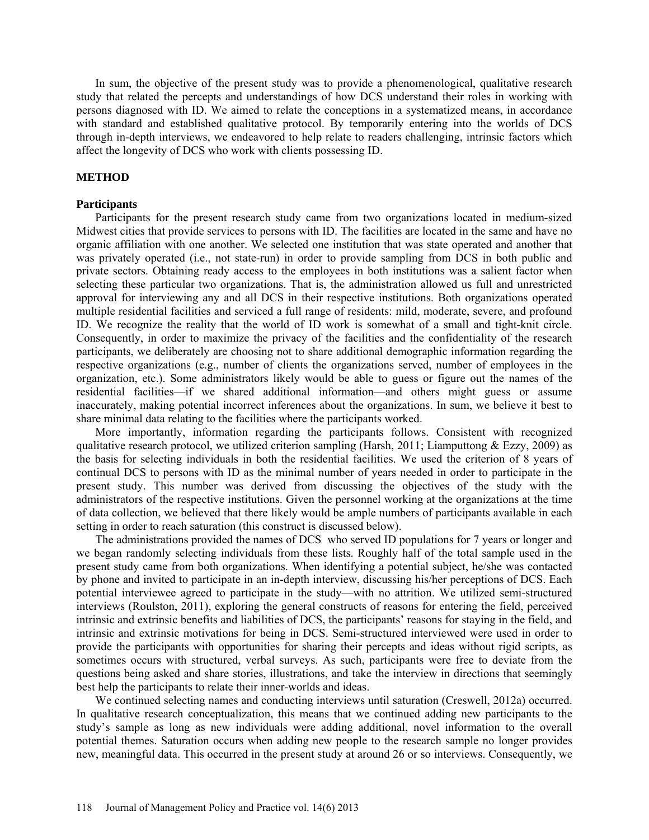In sum, the objective of the present study was to provide a phenomenological, qualitative research study that related the percepts and understandings of how DCS understand their roles in working with persons diagnosed with ID. We aimed to relate the conceptions in a systematized means, in accordance with standard and established qualitative protocol. By temporarily entering into the worlds of DCS through in-depth interviews, we endeavored to help relate to readers challenging, intrinsic factors which affect the longevity of DCS who work with clients possessing ID.

### **METHOD**

### **Participants**

Participants for the present research study came from two organizations located in medium-sized Midwest cities that provide services to persons with ID. The facilities are located in the same and have no organic affiliation with one another. We selected one institution that was state operated and another that was privately operated (i.e., not state-run) in order to provide sampling from DCS in both public and private sectors. Obtaining ready access to the employees in both institutions was a salient factor when selecting these particular two organizations. That is, the administration allowed us full and unrestricted approval for interviewing any and all DCS in their respective institutions. Both organizations operated multiple residential facilities and serviced a full range of residents: mild, moderate, severe, and profound ID. We recognize the reality that the world of ID work is somewhat of a small and tight-knit circle. Consequently, in order to maximize the privacy of the facilities and the confidentiality of the research participants, we deliberately are choosing not to share additional demographic information regarding the respective organizations (e.g., number of clients the organizations served, number of employees in the organization, etc.). Some administrators likely would be able to guess or figure out the names of the residential facilities—if we shared additional information—and others might guess or assume inaccurately, making potential incorrect inferences about the organizations. In sum, we believe it best to share minimal data relating to the facilities where the participants worked.

More importantly, information regarding the participants follows. Consistent with recognized qualitative research protocol, we utilized criterion sampling (Harsh, 2011; Liamputtong & Ezzy, 2009) as the basis for selecting individuals in both the residential facilities. We used the criterion of 8 years of continual DCS to persons with ID as the minimal number of years needed in order to participate in the present study. This number was derived from discussing the objectives of the study with the administrators of the respective institutions. Given the personnel working at the organizations at the time of data collection, we believed that there likely would be ample numbers of participants available in each setting in order to reach saturation (this construct is discussed below).

The administrations provided the names of DCS who served ID populations for 7 years or longer and we began randomly selecting individuals from these lists. Roughly half of the total sample used in the present study came from both organizations. When identifying a potential subject, he/she was contacted by phone and invited to participate in an in-depth interview, discussing his/her perceptions of DCS. Each potential interviewee agreed to participate in the study—with no attrition. We utilized semi-structured interviews (Roulston, 2011), exploring the general constructs of reasons for entering the field, perceived intrinsic and extrinsic benefits and liabilities of DCS, the participants' reasons for staying in the field, and intrinsic and extrinsic motivations for being in DCS. Semi-structured interviewed were used in order to provide the participants with opportunities for sharing their percepts and ideas without rigid scripts, as sometimes occurs with structured, verbal surveys. As such, participants were free to deviate from the questions being asked and share stories, illustrations, and take the interview in directions that seemingly best help the participants to relate their inner-worlds and ideas.

We continued selecting names and conducting interviews until saturation (Creswell, 2012a) occurred. In qualitative research conceptualization, this means that we continued adding new participants to the study's sample as long as new individuals were adding additional, novel information to the overall potential themes. Saturation occurs when adding new people to the research sample no longer provides new, meaningful data. This occurred in the present study at around 26 or so interviews. Consequently, we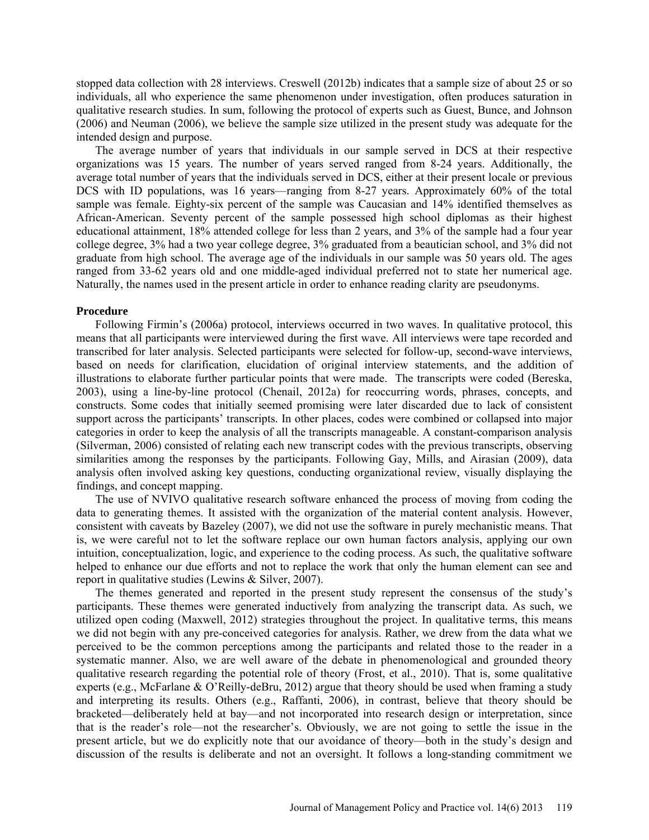stopped data collection with 28 interviews. Creswell (2012b) indicates that a sample size of about 25 or so individuals, all who experience the same phenomenon under investigation, often produces saturation in qualitative research studies. In sum, following the protocol of experts such as Guest, Bunce, and Johnson (2006) and Neuman (2006), we believe the sample size utilized in the present study was adequate for the intended design and purpose.

The average number of years that individuals in our sample served in DCS at their respective organizations was 15 years. The number of years served ranged from 8-24 years. Additionally, the average total number of years that the individuals served in DCS, either at their present locale or previous DCS with ID populations, was 16 years—ranging from 8-27 years. Approximately 60% of the total sample was female. Eighty-six percent of the sample was Caucasian and 14% identified themselves as African-American. Seventy percent of the sample possessed high school diplomas as their highest educational attainment, 18% attended college for less than 2 years, and 3% of the sample had a four year college degree, 3% had a two year college degree, 3% graduated from a beautician school, and 3% did not graduate from high school. The average age of the individuals in our sample was 50 years old. The ages ranged from 33-62 years old and one middle-aged individual preferred not to state her numerical age. Naturally, the names used in the present article in order to enhance reading clarity are pseudonyms.

#### **Procedure**

Following Firmin's (2006a) protocol, interviews occurred in two waves. In qualitative protocol, this means that all participants were interviewed during the first wave. All interviews were tape recorded and transcribed for later analysis. Selected participants were selected for follow-up, second-wave interviews, based on needs for clarification, elucidation of original interview statements, and the addition of illustrations to elaborate further particular points that were made. The transcripts were coded (Bereska, 2003), using a line-by-line protocol (Chenail, 2012a) for reoccurring words, phrases, concepts, and constructs. Some codes that initially seemed promising were later discarded due to lack of consistent support across the participants' transcripts. In other places, codes were combined or collapsed into major categories in order to keep the analysis of all the transcripts manageable. A constant-comparison analysis (Silverman, 2006) consisted of relating each new transcript codes with the previous transcripts, observing similarities among the responses by the participants. Following Gay, Mills, and Airasian (2009), data analysis often involved asking key questions, conducting organizational review, visually displaying the findings, and concept mapping.

The use of NVIVO qualitative research software enhanced the process of moving from coding the data to generating themes. It assisted with the organization of the material content analysis. However, consistent with caveats by Bazeley (2007), we did not use the software in purely mechanistic means. That is, we were careful not to let the software replace our own human factors analysis, applying our own intuition, conceptualization, logic, and experience to the coding process. As such, the qualitative software helped to enhance our due efforts and not to replace the work that only the human element can see and report in qualitative studies (Lewins & Silver, 2007).

The themes generated and reported in the present study represent the consensus of the study's participants. These themes were generated inductively from analyzing the transcript data. As such, we utilized open coding (Maxwell, 2012) strategies throughout the project. In qualitative terms, this means we did not begin with any pre-conceived categories for analysis. Rather, we drew from the data what we perceived to be the common perceptions among the participants and related those to the reader in a systematic manner. Also, we are well aware of the debate in phenomenological and grounded theory qualitative research regarding the potential role of theory (Frost, et al., 2010). That is, some qualitative experts (e.g., McFarlane & O'Reilly-deBru, 2012) argue that theory should be used when framing a study and interpreting its results. Others (e.g., Raffanti, 2006), in contrast, believe that theory should be bracketed—deliberately held at bay—and not incorporated into research design or interpretation, since that is the reader's role—not the researcher's. Obviously, we are not going to settle the issue in the present article, but we do explicitly note that our avoidance of theory—both in the study's design and discussion of the results is deliberate and not an oversight. It follows a long-standing commitment we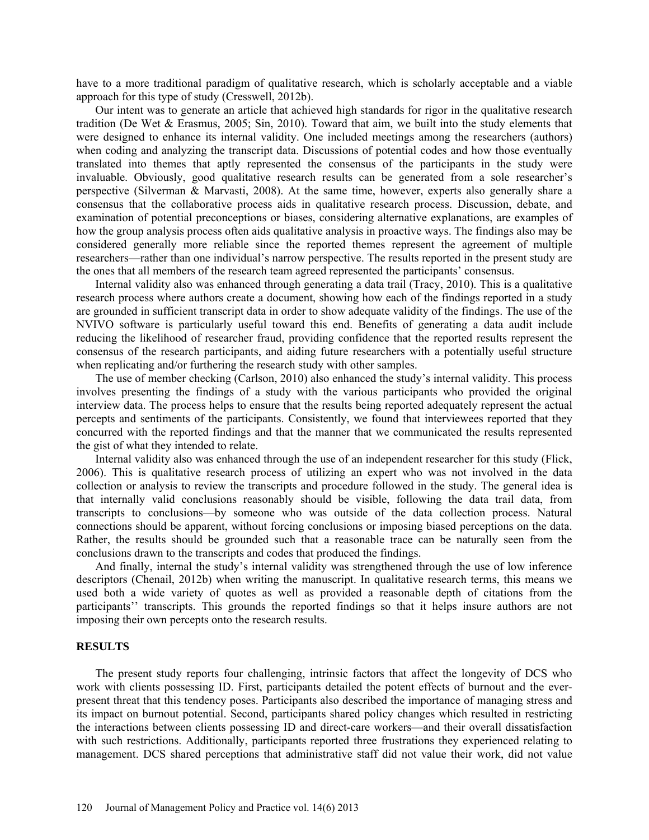have to a more traditional paradigm of qualitative research, which is scholarly acceptable and a viable approach for this type of study (Cresswell, 2012b).

Our intent was to generate an article that achieved high standards for rigor in the qualitative research tradition (De Wet & Erasmus, 2005; Sin, 2010). Toward that aim, we built into the study elements that were designed to enhance its internal validity. One included meetings among the researchers (authors) when coding and analyzing the transcript data. Discussions of potential codes and how those eventually translated into themes that aptly represented the consensus of the participants in the study were invaluable. Obviously, good qualitative research results can be generated from a sole researcher's perspective (Silverman & Marvasti, 2008). At the same time, however, experts also generally share a consensus that the collaborative process aids in qualitative research process. Discussion, debate, and examination of potential preconceptions or biases, considering alternative explanations, are examples of how the group analysis process often aids qualitative analysis in proactive ways. The findings also may be considered generally more reliable since the reported themes represent the agreement of multiple researchers—rather than one individual's narrow perspective. The results reported in the present study are the ones that all members of the research team agreed represented the participants' consensus.

Internal validity also was enhanced through generating a data trail (Tracy, 2010). This is a qualitative research process where authors create a document, showing how each of the findings reported in a study are grounded in sufficient transcript data in order to show adequate validity of the findings. The use of the NVIVO software is particularly useful toward this end. Benefits of generating a data audit include reducing the likelihood of researcher fraud, providing confidence that the reported results represent the consensus of the research participants, and aiding future researchers with a potentially useful structure when replicating and/or furthering the research study with other samples.

The use of member checking (Carlson, 2010) also enhanced the study's internal validity. This process involves presenting the findings of a study with the various participants who provided the original interview data. The process helps to ensure that the results being reported adequately represent the actual percepts and sentiments of the participants. Consistently, we found that interviewees reported that they concurred with the reported findings and that the manner that we communicated the results represented the gist of what they intended to relate.

Internal validity also was enhanced through the use of an independent researcher for this study (Flick, 2006). This is qualitative research process of utilizing an expert who was not involved in the data collection or analysis to review the transcripts and procedure followed in the study. The general idea is that internally valid conclusions reasonably should be visible, following the data trail data, from transcripts to conclusions—by someone who was outside of the data collection process. Natural connections should be apparent, without forcing conclusions or imposing biased perceptions on the data. Rather, the results should be grounded such that a reasonable trace can be naturally seen from the conclusions drawn to the transcripts and codes that produced the findings.

And finally, internal the study's internal validity was strengthened through the use of low inference descriptors (Chenail, 2012b) when writing the manuscript. In qualitative research terms, this means we used both a wide variety of quotes as well as provided a reasonable depth of citations from the participants'' transcripts. This grounds the reported findings so that it helps insure authors are not imposing their own percepts onto the research results.

#### **RESULTS**

The present study reports four challenging, intrinsic factors that affect the longevity of DCS who work with clients possessing ID. First, participants detailed the potent effects of burnout and the everpresent threat that this tendency poses. Participants also described the importance of managing stress and its impact on burnout potential. Second, participants shared policy changes which resulted in restricting the interactions between clients possessing ID and direct-care workers—and their overall dissatisfaction with such restrictions. Additionally, participants reported three frustrations they experienced relating to management. DCS shared perceptions that administrative staff did not value their work, did not value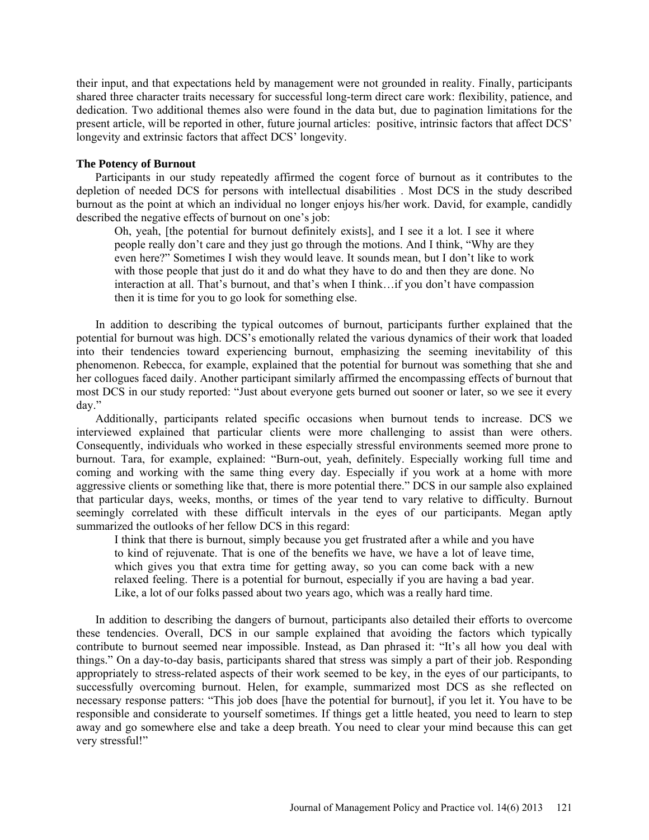their input, and that expectations held by management were not grounded in reality. Finally, participants shared three character traits necessary for successful long-term direct care work: flexibility, patience, and dedication. Two additional themes also were found in the data but, due to pagination limitations for the present article, will be reported in other, future journal articles: positive, intrinsic factors that affect DCS' longevity and extrinsic factors that affect DCS' longevity.

# **The Potency of Burnout**

Participants in our study repeatedly affirmed the cogent force of burnout as it contributes to the depletion of needed DCS for persons with intellectual disabilities . Most DCS in the study described burnout as the point at which an individual no longer enjoys his/her work. David, for example, candidly described the negative effects of burnout on one's job:

Oh, yeah, [the potential for burnout definitely exists], and I see it a lot. I see it where people really don't care and they just go through the motions. And I think, "Why are they even here?" Sometimes I wish they would leave. It sounds mean, but I don't like to work with those people that just do it and do what they have to do and then they are done. No interaction at all. That's burnout, and that's when I think…if you don't have compassion then it is time for you to go look for something else.

In addition to describing the typical outcomes of burnout, participants further explained that the potential for burnout was high. DCS's emotionally related the various dynamics of their work that loaded into their tendencies toward experiencing burnout, emphasizing the seeming inevitability of this phenomenon. Rebecca, for example, explained that the potential for burnout was something that she and her collogues faced daily. Another participant similarly affirmed the encompassing effects of burnout that most DCS in our study reported: "Just about everyone gets burned out sooner or later, so we see it every day."

Additionally, participants related specific occasions when burnout tends to increase. DCS we interviewed explained that particular clients were more challenging to assist than were others. Consequently, individuals who worked in these especially stressful environments seemed more prone to burnout. Tara, for example, explained: "Burn-out, yeah, definitely. Especially working full time and coming and working with the same thing every day. Especially if you work at a home with more aggressive clients or something like that, there is more potential there." DCS in our sample also explained that particular days, weeks, months, or times of the year tend to vary relative to difficulty. Burnout seemingly correlated with these difficult intervals in the eyes of our participants. Megan aptly summarized the outlooks of her fellow DCS in this regard:

I think that there is burnout, simply because you get frustrated after a while and you have to kind of rejuvenate. That is one of the benefits we have, we have a lot of leave time, which gives you that extra time for getting away, so you can come back with a new relaxed feeling. There is a potential for burnout, especially if you are having a bad year. Like, a lot of our folks passed about two years ago, which was a really hard time.

In addition to describing the dangers of burnout, participants also detailed their efforts to overcome these tendencies. Overall, DCS in our sample explained that avoiding the factors which typically contribute to burnout seemed near impossible. Instead, as Dan phrased it: "It's all how you deal with things." On a day-to-day basis, participants shared that stress was simply a part of their job. Responding appropriately to stress-related aspects of their work seemed to be key, in the eyes of our participants, to successfully overcoming burnout. Helen, for example, summarized most DCS as she reflected on necessary response patters: "This job does [have the potential for burnout], if you let it. You have to be responsible and considerate to yourself sometimes. If things get a little heated, you need to learn to step away and go somewhere else and take a deep breath. You need to clear your mind because this can get very stressful!"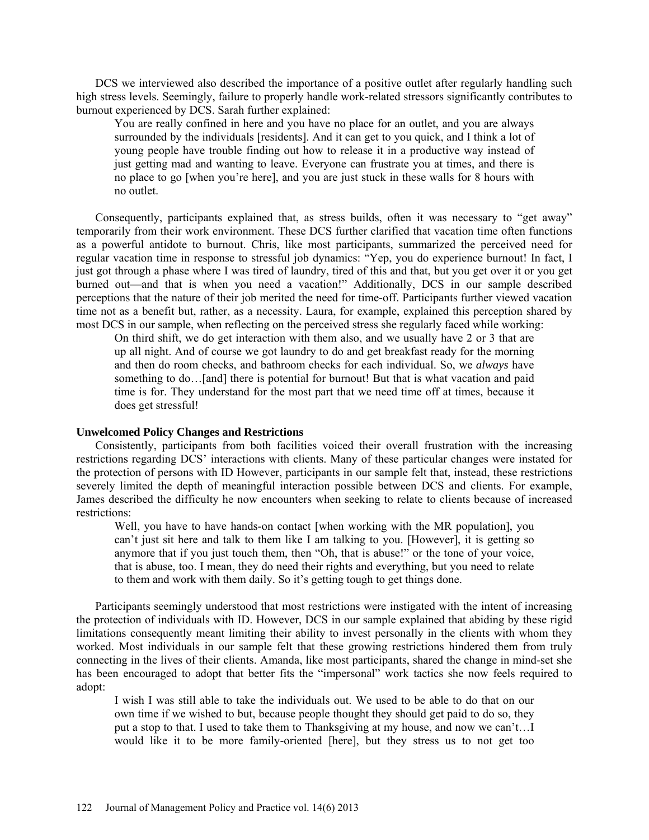DCS we interviewed also described the importance of a positive outlet after regularly handling such high stress levels. Seemingly, failure to properly handle work-related stressors significantly contributes to burnout experienced by DCS. Sarah further explained:

You are really confined in here and you have no place for an outlet, and you are always surrounded by the individuals [residents]. And it can get to you quick, and I think a lot of young people have trouble finding out how to release it in a productive way instead of just getting mad and wanting to leave. Everyone can frustrate you at times, and there is no place to go [when you're here], and you are just stuck in these walls for 8 hours with no outlet.

Consequently, participants explained that, as stress builds, often it was necessary to "get away" temporarily from their work environment. These DCS further clarified that vacation time often functions as a powerful antidote to burnout. Chris, like most participants, summarized the perceived need for regular vacation time in response to stressful job dynamics: "Yep, you do experience burnout! In fact, I just got through a phase where I was tired of laundry, tired of this and that, but you get over it or you get burned out—and that is when you need a vacation!" Additionally, DCS in our sample described perceptions that the nature of their job merited the need for time-off. Participants further viewed vacation time not as a benefit but, rather, as a necessity. Laura, for example, explained this perception shared by most DCS in our sample, when reflecting on the perceived stress she regularly faced while working:

On third shift, we do get interaction with them also, and we usually have 2 or 3 that are up all night. And of course we got laundry to do and get breakfast ready for the morning and then do room checks, and bathroom checks for each individual. So, we *always* have something to do…[and] there is potential for burnout! But that is what vacation and paid time is for. They understand for the most part that we need time off at times, because it does get stressful!

# **Unwelcomed Policy Changes and Restrictions**

Consistently, participants from both facilities voiced their overall frustration with the increasing restrictions regarding DCS' interactions with clients. Many of these particular changes were instated for the protection of persons with ID However, participants in our sample felt that, instead, these restrictions severely limited the depth of meaningful interaction possible between DCS and clients. For example, James described the difficulty he now encounters when seeking to relate to clients because of increased restrictions:

Well, you have to have hands-on contact [when working with the MR population], you can't just sit here and talk to them like I am talking to you. [However], it is getting so anymore that if you just touch them, then "Oh, that is abuse!" or the tone of your voice, that is abuse, too. I mean, they do need their rights and everything, but you need to relate to them and work with them daily. So it's getting tough to get things done.

Participants seemingly understood that most restrictions were instigated with the intent of increasing the protection of individuals with ID. However, DCS in our sample explained that abiding by these rigid limitations consequently meant limiting their ability to invest personally in the clients with whom they worked. Most individuals in our sample felt that these growing restrictions hindered them from truly connecting in the lives of their clients. Amanda, like most participants, shared the change in mind-set she has been encouraged to adopt that better fits the "impersonal" work tactics she now feels required to adopt:

I wish I was still able to take the individuals out. We used to be able to do that on our own time if we wished to but, because people thought they should get paid to do so, they put a stop to that. I used to take them to Thanksgiving at my house, and now we can't…I would like it to be more family-oriented [here], but they stress us to not get too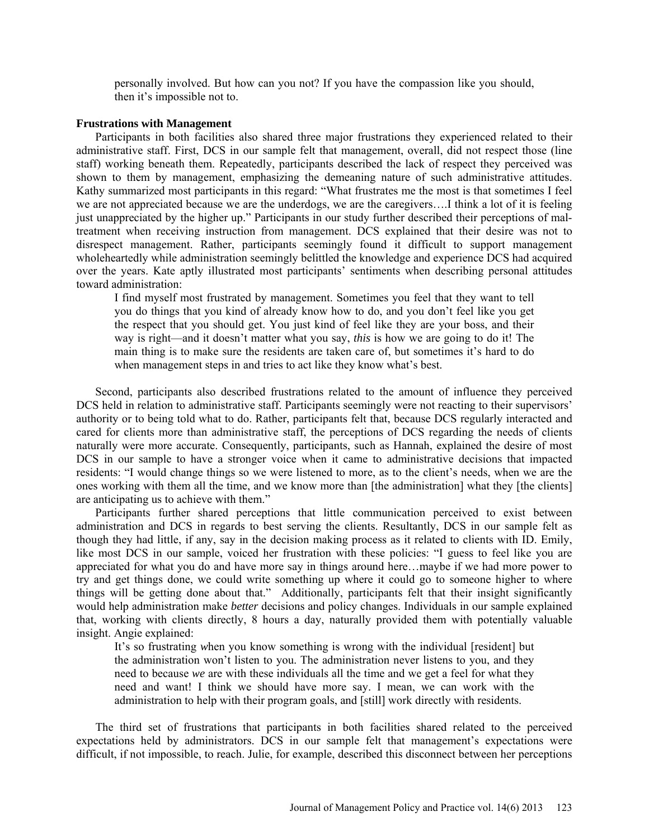personally involved. But how can you not? If you have the compassion like you should, then it's impossible not to.

#### **Frustrations with Management**

Participants in both facilities also shared three major frustrations they experienced related to their administrative staff. First, DCS in our sample felt that management, overall, did not respect those (line staff) working beneath them. Repeatedly, participants described the lack of respect they perceived was shown to them by management, emphasizing the demeaning nature of such administrative attitudes. Kathy summarized most participants in this regard: "What frustrates me the most is that sometimes I feel we are not appreciated because we are the underdogs, we are the caregivers….I think a lot of it is feeling just unappreciated by the higher up." Participants in our study further described their perceptions of maltreatment when receiving instruction from management. DCS explained that their desire was not to disrespect management. Rather, participants seemingly found it difficult to support management wholeheartedly while administration seemingly belittled the knowledge and experience DCS had acquired over the years. Kate aptly illustrated most participants' sentiments when describing personal attitudes toward administration:

I find myself most frustrated by management. Sometimes you feel that they want to tell you do things that you kind of already know how to do, and you don't feel like you get the respect that you should get. You just kind of feel like they are your boss, and their way is right—and it doesn't matter what you say, *this* is how we are going to do it! The main thing is to make sure the residents are taken care of, but sometimes it's hard to do when management steps in and tries to act like they know what's best.

Second, participants also described frustrations related to the amount of influence they perceived DCS held in relation to administrative staff. Participants seemingly were not reacting to their supervisors' authority or to being told what to do. Rather, participants felt that, because DCS regularly interacted and cared for clients more than administrative staff, the perceptions of DCS regarding the needs of clients naturally were more accurate. Consequently, participants, such as Hannah, explained the desire of most DCS in our sample to have a stronger voice when it came to administrative decisions that impacted residents: "I would change things so we were listened to more, as to the client's needs, when we are the ones working with them all the time, and we know more than [the administration] what they [the clients] are anticipating us to achieve with them."

Participants further shared perceptions that little communication perceived to exist between administration and DCS in regards to best serving the clients. Resultantly, DCS in our sample felt as though they had little, if any, say in the decision making process as it related to clients with ID. Emily, like most DCS in our sample, voiced her frustration with these policies: "I guess to feel like you are appreciated for what you do and have more say in things around here…maybe if we had more power to try and get things done, we could write something up where it could go to someone higher to where things will be getting done about that." Additionally, participants felt that their insight significantly would help administration make *better* decisions and policy changes. Individuals in our sample explained that, working with clients directly, 8 hours a day, naturally provided them with potentially valuable insight. Angie explained:

It's so frustrating when you know something is wrong with the individual [resident] but the administration won't listen to you. The administration never listens to you, and they need to because *we* are with these individuals all the time and we get a feel for what they need and want! I think we should have more say. I mean, we can work with the administration to help with their program goals, and [still] work directly with residents.

The third set of frustrations that participants in both facilities shared related to the perceived expectations held by administrators. DCS in our sample felt that management's expectations were difficult, if not impossible, to reach. Julie, for example, described this disconnect between her perceptions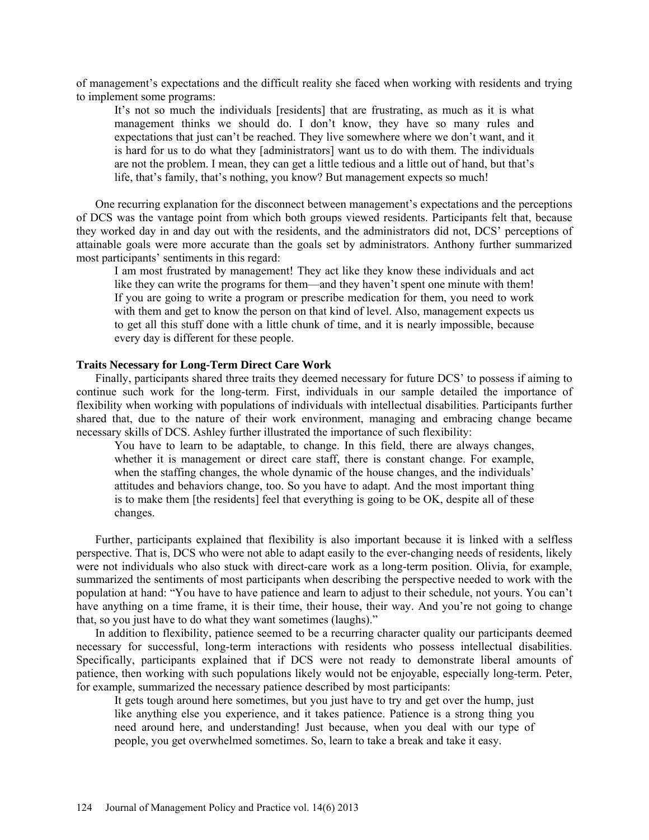of management's expectations and the difficult reality she faced when working with residents and trying to implement some programs:

It's not so much the individuals [residents] that are frustrating, as much as it is what management thinks we should do. I don't know, they have so many rules and expectations that just can't be reached. They live somewhere where we don't want, and it is hard for us to do what they [administrators] want us to do with them. The individuals are not the problem. I mean, they can get a little tedious and a little out of hand, but that's life, that's family, that's nothing, you know? But management expects so much!

One recurring explanation for the disconnect between management's expectations and the perceptions of DCS was the vantage point from which both groups viewed residents. Participants felt that, because they worked day in and day out with the residents, and the administrators did not, DCS' perceptions of attainable goals were more accurate than the goals set by administrators. Anthony further summarized most participants' sentiments in this regard:

I am most frustrated by management! They act like they know these individuals and act like they can write the programs for them—and they haven't spent one minute with them! If you are going to write a program or prescribe medication for them, you need to work with them and get to know the person on that kind of level. Also, management expects us to get all this stuff done with a little chunk of time, and it is nearly impossible, because every day is different for these people.

### **Traits Necessary for Long-Term Direct Care Work**

Finally, participants shared three traits they deemed necessary for future DCS' to possess if aiming to continue such work for the long-term. First, individuals in our sample detailed the importance of flexibility when working with populations of individuals with intellectual disabilities. Participants further shared that, due to the nature of their work environment, managing and embracing change became necessary skills of DCS. Ashley further illustrated the importance of such flexibility:

You have to learn to be adaptable, to change. In this field, there are always changes, whether it is management or direct care staff, there is constant change. For example, when the staffing changes, the whole dynamic of the house changes, and the individuals' attitudes and behaviors change, too. So you have to adapt. And the most important thing is to make them [the residents] feel that everything is going to be OK, despite all of these changes.

Further, participants explained that flexibility is also important because it is linked with a selfless perspective. That is, DCS who were not able to adapt easily to the ever-changing needs of residents, likely were not individuals who also stuck with direct-care work as a long-term position. Olivia, for example, summarized the sentiments of most participants when describing the perspective needed to work with the population at hand: "You have to have patience and learn to adjust to their schedule, not yours. You can't have anything on a time frame, it is their time, their house, their way. And you're not going to change that, so you just have to do what they want sometimes (laughs)."

In addition to flexibility, patience seemed to be a recurring character quality our participants deemed necessary for successful, long-term interactions with residents who possess intellectual disabilities. Specifically, participants explained that if DCS were not ready to demonstrate liberal amounts of patience, then working with such populations likely would not be enjoyable, especially long-term. Peter, for example, summarized the necessary patience described by most participants:

It gets tough around here sometimes, but you just have to try and get over the hump, just like anything else you experience, and it takes patience. Patience is a strong thing you need around here, and understanding! Just because, when you deal with our type of people, you get overwhelmed sometimes. So, learn to take a break and take it easy.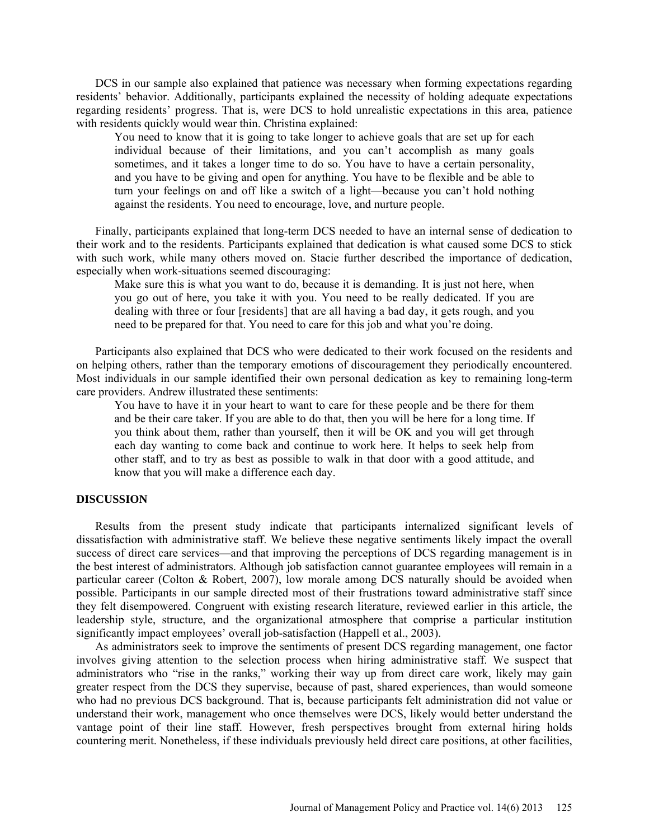DCS in our sample also explained that patience was necessary when forming expectations regarding residents' behavior. Additionally, participants explained the necessity of holding adequate expectations regarding residents' progress. That is, were DCS to hold unrealistic expectations in this area, patience with residents quickly would wear thin. Christina explained:

You need to know that it is going to take longer to achieve goals that are set up for each individual because of their limitations, and you can't accomplish as many goals sometimes, and it takes a longer time to do so. You have to have a certain personality, and you have to be giving and open for anything. You have to be flexible and be able to turn your feelings on and off like a switch of a light—because you can't hold nothing against the residents. You need to encourage, love, and nurture people.

Finally, participants explained that long-term DCS needed to have an internal sense of dedication to their work and to the residents. Participants explained that dedication is what caused some DCS to stick with such work, while many others moved on. Stacie further described the importance of dedication, especially when work-situations seemed discouraging:

Make sure this is what you want to do, because it is demanding. It is just not here, when you go out of here, you take it with you. You need to be really dedicated. If you are dealing with three or four [residents] that are all having a bad day, it gets rough, and you need to be prepared for that. You need to care for this job and what you're doing.

Participants also explained that DCS who were dedicated to their work focused on the residents and on helping others, rather than the temporary emotions of discouragement they periodically encountered. Most individuals in our sample identified their own personal dedication as key to remaining long-term care providers. Andrew illustrated these sentiments:

You have to have it in your heart to want to care for these people and be there for them and be their care taker. If you are able to do that, then you will be here for a long time. If you think about them, rather than yourself, then it will be OK and you will get through each day wanting to come back and continue to work here. It helps to seek help from other staff, and to try as best as possible to walk in that door with a good attitude, and know that you will make a difference each day.

# **DISCUSSION**

Results from the present study indicate that participants internalized significant levels of dissatisfaction with administrative staff. We believe these negative sentiments likely impact the overall success of direct care services—and that improving the perceptions of DCS regarding management is in the best interest of administrators. Although job satisfaction cannot guarantee employees will remain in a particular career (Colton & Robert, 2007), low morale among DCS naturally should be avoided when possible. Participants in our sample directed most of their frustrations toward administrative staff since they felt disempowered. Congruent with existing research literature, reviewed earlier in this article, the leadership style, structure, and the organizational atmosphere that comprise a particular institution significantly impact employees' overall job-satisfaction (Happell et al., 2003).

As administrators seek to improve the sentiments of present DCS regarding management, one factor involves giving attention to the selection process when hiring administrative staff. We suspect that administrators who "rise in the ranks," working their way up from direct care work, likely may gain greater respect from the DCS they supervise, because of past, shared experiences, than would someone who had no previous DCS background. That is, because participants felt administration did not value or understand their work, management who once themselves were DCS, likely would better understand the vantage point of their line staff. However, fresh perspectives brought from external hiring holds countering merit. Nonetheless, if these individuals previously held direct care positions, at other facilities,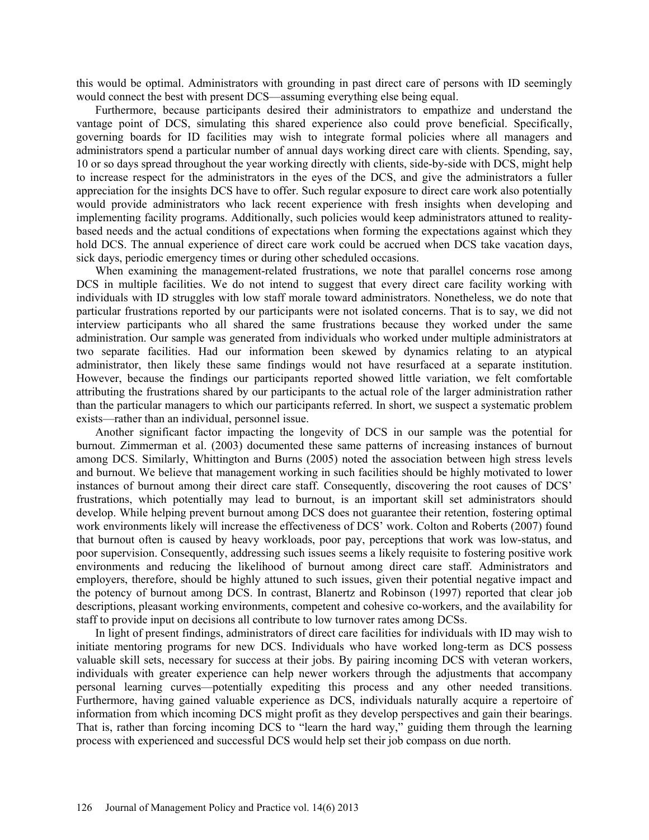this would be optimal. Administrators with grounding in past direct care of persons with ID seemingly would connect the best with present DCS—assuming everything else being equal.

Furthermore, because participants desired their administrators to empathize and understand the vantage point of DCS, simulating this shared experience also could prove beneficial. Specifically, governing boards for ID facilities may wish to integrate formal policies where all managers and administrators spend a particular number of annual days working direct care with clients. Spending, say, 10 or so days spread throughout the year working directly with clients, side-by-side with DCS, might help to increase respect for the administrators in the eyes of the DCS, and give the administrators a fuller appreciation for the insights DCS have to offer. Such regular exposure to direct care work also potentially would provide administrators who lack recent experience with fresh insights when developing and implementing facility programs. Additionally, such policies would keep administrators attuned to realitybased needs and the actual conditions of expectations when forming the expectations against which they hold DCS. The annual experience of direct care work could be accrued when DCS take vacation days, sick days, periodic emergency times or during other scheduled occasions.

When examining the management-related frustrations, we note that parallel concerns rose among DCS in multiple facilities. We do not intend to suggest that every direct care facility working with individuals with ID struggles with low staff morale toward administrators. Nonetheless, we do note that particular frustrations reported by our participants were not isolated concerns. That is to say, we did not interview participants who all shared the same frustrations because they worked under the same administration. Our sample was generated from individuals who worked under multiple administrators at two separate facilities. Had our information been skewed by dynamics relating to an atypical administrator, then likely these same findings would not have resurfaced at a separate institution. However, because the findings our participants reported showed little variation, we felt comfortable attributing the frustrations shared by our participants to the actual role of the larger administration rather than the particular managers to which our participants referred. In short, we suspect a systematic problem exists—rather than an individual, personnel issue.

Another significant factor impacting the longevity of DCS in our sample was the potential for burnout. Zimmerman et al. (2003) documented these same patterns of increasing instances of burnout among DCS. Similarly, Whittington and Burns (2005) noted the association between high stress levels and burnout. We believe that management working in such facilities should be highly motivated to lower instances of burnout among their direct care staff. Consequently, discovering the root causes of DCS' frustrations, which potentially may lead to burnout, is an important skill set administrators should develop. While helping prevent burnout among DCS does not guarantee their retention, fostering optimal work environments likely will increase the effectiveness of DCS' work. Colton and Roberts (2007) found that burnout often is caused by heavy workloads, poor pay, perceptions that work was low-status, and poor supervision. Consequently, addressing such issues seems a likely requisite to fostering positive work environments and reducing the likelihood of burnout among direct care staff. Administrators and employers, therefore, should be highly attuned to such issues, given their potential negative impact and the potency of burnout among DCS. In contrast, Blanertz and Robinson (1997) reported that clear job descriptions, pleasant working environments, competent and cohesive co-workers, and the availability for staff to provide input on decisions all contribute to low turnover rates among DCSs.

In light of present findings, administrators of direct care facilities for individuals with ID may wish to initiate mentoring programs for new DCS. Individuals who have worked long-term as DCS possess valuable skill sets, necessary for success at their jobs. By pairing incoming DCS with veteran workers, individuals with greater experience can help newer workers through the adjustments that accompany personal learning curves—potentially expediting this process and any other needed transitions. Furthermore, having gained valuable experience as DCS, individuals naturally acquire a repertoire of information from which incoming DCS might profit as they develop perspectives and gain their bearings. That is, rather than forcing incoming DCS to "learn the hard way," guiding them through the learning process with experienced and successful DCS would help set their job compass on due north.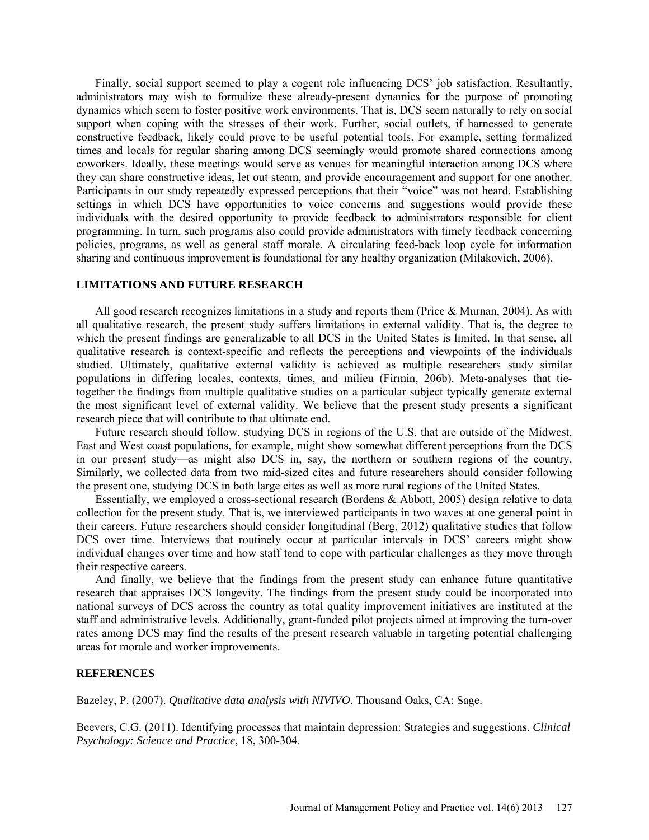Finally, social support seemed to play a cogent role influencing DCS' job satisfaction. Resultantly, administrators may wish to formalize these already-present dynamics for the purpose of promoting dynamics which seem to foster positive work environments. That is, DCS seem naturally to rely on social support when coping with the stresses of their work. Further, social outlets, if harnessed to generate constructive feedback, likely could prove to be useful potential tools. For example, setting formalized times and locals for regular sharing among DCS seemingly would promote shared connections among coworkers. Ideally, these meetings would serve as venues for meaningful interaction among DCS where they can share constructive ideas, let out steam, and provide encouragement and support for one another. Participants in our study repeatedly expressed perceptions that their "voice" was not heard. Establishing settings in which DCS have opportunities to voice concerns and suggestions would provide these individuals with the desired opportunity to provide feedback to administrators responsible for client programming. In turn, such programs also could provide administrators with timely feedback concerning policies, programs, as well as general staff morale. A circulating feed-back loop cycle for information sharing and continuous improvement is foundational for any healthy organization (Milakovich, 2006).

# **LIMITATIONS AND FUTURE RESEARCH**

All good research recognizes limitations in a study and reports them (Price  $\&$  Murnan, 2004). As with all qualitative research, the present study suffers limitations in external validity. That is, the degree to which the present findings are generalizable to all DCS in the United States is limited. In that sense, all qualitative research is context-specific and reflects the perceptions and viewpoints of the individuals studied. Ultimately, qualitative external validity is achieved as multiple researchers study similar populations in differing locales, contexts, times, and milieu (Firmin, 206b). Meta-analyses that tietogether the findings from multiple qualitative studies on a particular subject typically generate external the most significant level of external validity. We believe that the present study presents a significant research piece that will contribute to that ultimate end.

Future research should follow, studying DCS in regions of the U.S. that are outside of the Midwest. East and West coast populations, for example, might show somewhat different perceptions from the DCS in our present study—as might also DCS in, say, the northern or southern regions of the country. Similarly, we collected data from two mid-sized cites and future researchers should consider following the present one, studying DCS in both large cites as well as more rural regions of the United States.

Essentially, we employed a cross-sectional research (Bordens & Abbott, 2005) design relative to data collection for the present study. That is, we interviewed participants in two waves at one general point in their careers. Future researchers should consider longitudinal (Berg, 2012) qualitative studies that follow DCS over time. Interviews that routinely occur at particular intervals in DCS' careers might show individual changes over time and how staff tend to cope with particular challenges as they move through their respective careers.

And finally, we believe that the findings from the present study can enhance future quantitative research that appraises DCS longevity. The findings from the present study could be incorporated into national surveys of DCS across the country as total quality improvement initiatives are instituted at the staff and administrative levels. Additionally, grant-funded pilot projects aimed at improving the turn-over rates among DCS may find the results of the present research valuable in targeting potential challenging areas for morale and worker improvements.

#### **REFERENCES**

Bazeley, P. (2007). *Qualitative data analysis with NIVIVO*. Thousand Oaks, CA: Sage.

Beevers, C.G. (2011). Identifying processes that maintain depression: Strategies and suggestions. *Clinical Psychology: Science and Practice*, 18, 300-304.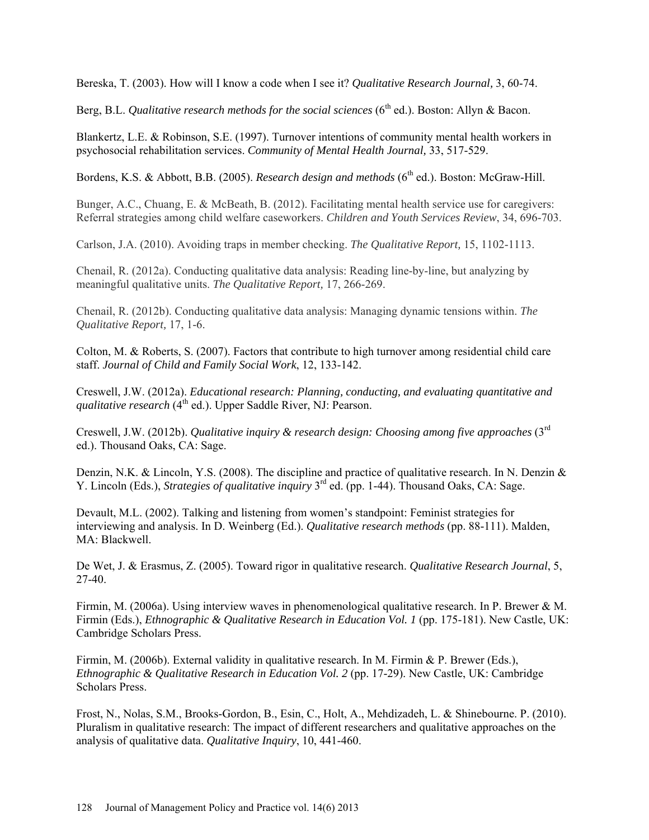Bereska, T. (2003). How will I know a code when I see it? *Qualitative Research Journal,* 3, 60-74.

Berg, B.L. *Qualitative research methods for the social sciences* (6<sup>th</sup> ed.). Boston: Allyn & Bacon.

Blankertz, L.E. & Robinson, S.E. (1997). Turnover intentions of community mental health workers in psychosocial rehabilitation services. *Community of Mental Health Journal,* 33, 517-529.

Bordens, K.S. & Abbott, B.B. (2005). *Research design and methods* (6<sup>th</sup> ed.). Boston: McGraw-Hill.

Bunger, A.C., Chuang, E. & McBeath, B. (2012). Facilitating mental health service use for caregivers: Referral strategies among child welfare caseworkers. *Children and Youth Services Review*, 34, 696-703.

Carlson, J.A. (2010). Avoiding traps in member checking. *The Qualitative Report,* 15, 1102-1113.

Chenail, R. (2012a). Conducting qualitative data analysis: Reading line-by-line, but analyzing by meaningful qualitative units. *The Qualitative Report,* 17, 266-269.

Chenail, R. (2012b). Conducting qualitative data analysis: Managing dynamic tensions within. *The Qualitative Report,* 17, 1-6.

Colton, M. & Roberts, S. (2007). Factors that contribute to high turnover among residential child care staff. *Journal of Child and Family Social Work*, 12, 133-142.

Creswell, J.W. (2012a). *Educational research: Planning, conducting, and evaluating quantitative and qualitative research* (4<sup>th</sup> ed.). Upper Saddle River, NJ: Pearson.

Creswell, J.W. (2012b). *Qualitative inquiry & research design: Choosing among five approaches* (3rd ed.). Thousand Oaks, CA: Sage.

Denzin, N.K. & Lincoln, Y.S. (2008). The discipline and practice of qualitative research. In N. Denzin & Y. Lincoln (Eds.), *Strategies of qualitative inquiry* 3rd ed. (pp. 1-44). Thousand Oaks, CA: Sage.

Devault, M.L. (2002). Talking and listening from women's standpoint: Feminist strategies for interviewing and analysis. In D. Weinberg (Ed.). *Qualitative research methods* (pp. 88-111). Malden, MA: Blackwell.

De Wet, J. & Erasmus, Z. (2005). Toward rigor in qualitative research. *Qualitative Research Journal*, 5, 27-40.

Firmin, M. (2006a). Using interview waves in phenomenological qualitative research. In P. Brewer & M. Firmin (Eds.), *Ethnographic & Qualitative Research in Education Vol. 1* (pp. 175-181). New Castle, UK: Cambridge Scholars Press.

Firmin, M. (2006b). External validity in qualitative research. In M. Firmin & P. Brewer (Eds.), *Ethnographic & Qualitative Research in Education Vol. 2* (pp. 17-29). New Castle, UK: Cambridge Scholars Press.

Frost, N., Nolas, S.M., Brooks-Gordon, B., Esin, C., Holt, A., Mehdizadeh, L. & Shinebourne. P. (2010). Pluralism in qualitative research: The impact of different researchers and qualitative approaches on the analysis of qualitative data. *Qualitative Inquiry*, 10, 441-460.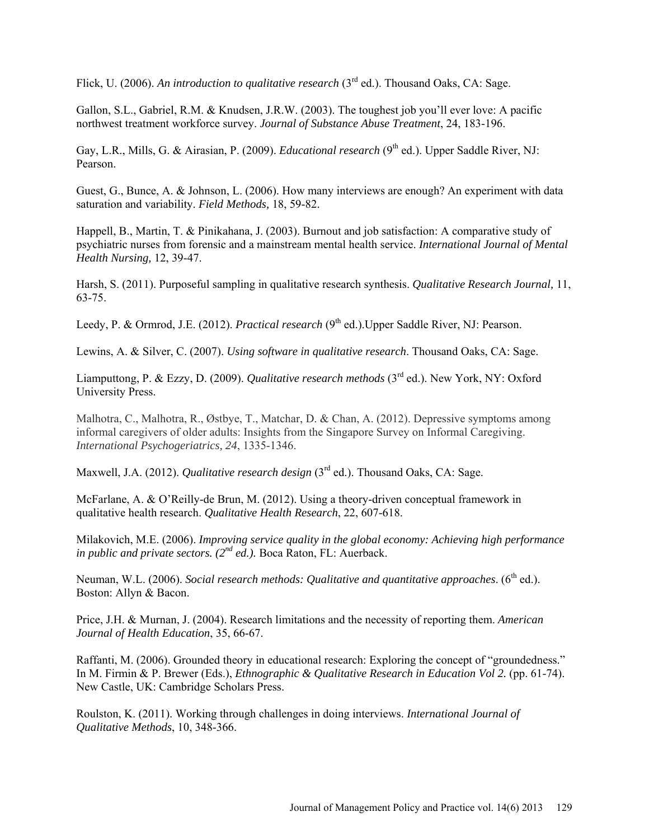Flick, U. (2006). An introduction to qualitative research (3<sup>rd</sup> ed.). Thousand Oaks, CA: Sage.

Gallon, S.L., Gabriel, R.M. & Knudsen, J.R.W. (2003). The toughest job you'll ever love: A pacific northwest treatment workforce survey. *Journal of Substance Abuse Treatment*, 24, 183-196.

Gay, L.R., Mills, G. & Airasian, P. (2009). *Educational research* (9<sup>th</sup> ed.). Upper Saddle River, NJ: Pearson.

Guest, G., Bunce, A. & Johnson, L. (2006). How many interviews are enough? An experiment with data saturation and variability. *Field Methods,* 18, 59-82.

Happell, B., Martin, T. & Pinikahana, J. (2003). Burnout and job satisfaction: A comparative study of psychiatric nurses from forensic and a mainstream mental health service. *International Journal of Mental Health Nursing,* 12, 39-47.

Harsh, S. (2011). Purposeful sampling in qualitative research synthesis. *Qualitative Research Journal,* 11, 63-75.

Leedy, P. & Ormrod, J.E. (2012). *Practical research* (9<sup>th</sup> ed.). Upper Saddle River, NJ: Pearson.

Lewins, A. & Silver, C. (2007). *Using software in qualitative research*. Thousand Oaks, CA: Sage.

Liamputtong, P. & Ezzy, D. (2009). *Qualitative research methods* (3rd ed.). New York, NY: Oxford University Press.

Malhotra, C., Malhotra, R., Østbye, T., Matchar, D. & Chan, A. (2012). Depressive symptoms among informal caregivers of older adults: Insights from the Singapore Survey on Informal Caregiving. *International Psychogeriatrics, 24*, 1335-1346.

Maxwell, J.A. (2012). *Qualitative research design* (3<sup>rd</sup> ed.). Thousand Oaks, CA: Sage.

McFarlane, A. & O'Reilly-de Brun, M. (2012). Using a theory-driven conceptual framework in qualitative health research. *Qualitative Health Research*, 22, 607-618.

Milakovich, M.E. (2006). *Improving service quality in the global economy: Achieving high performance in public and private sectors. (2nd ed.).* Boca Raton, FL: Auerback.

Neuman, W.L. (2006). *Social research methods: Qualitative and quantitative approaches.* (6<sup>th</sup> ed.). Boston: Allyn & Bacon.

Price, J.H. & Murnan, J. (2004). Research limitations and the necessity of reporting them. *American Journal of Health Education*, 35, 66-67.

Raffanti, M. (2006). Grounded theory in educational research: Exploring the concept of "groundedness." In M. Firmin & P. Brewer (Eds.), *Ethnographic & Qualitative Research in Education Vol 2.* (pp. 61-74). New Castle, UK: Cambridge Scholars Press.

Roulston, K. (2011). Working through challenges in doing interviews. *International Journal of Qualitative Methods*, 10, 348-366.